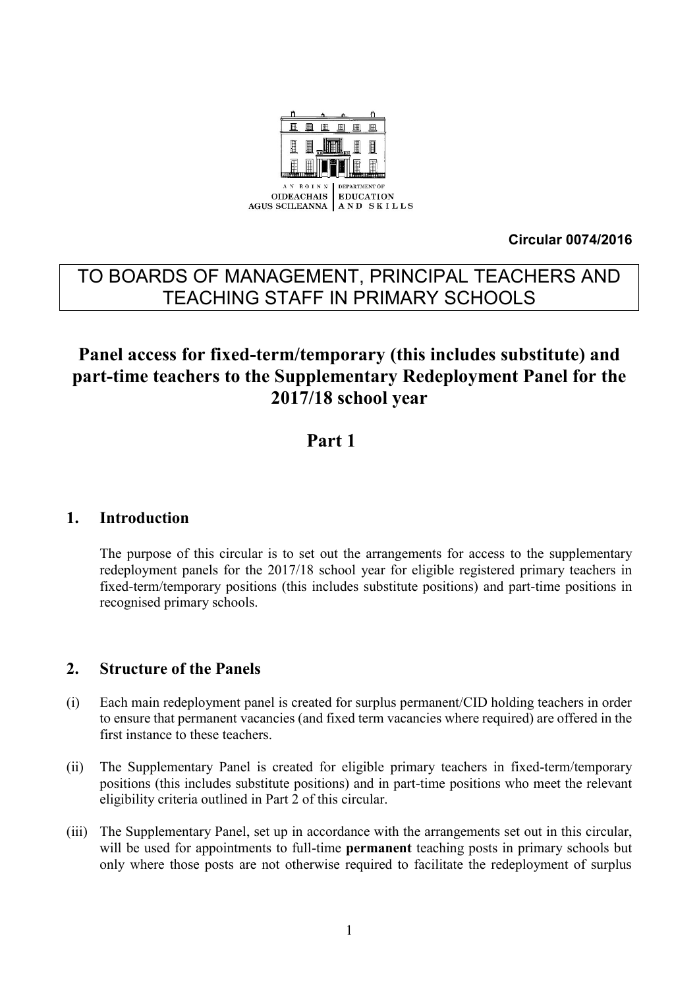

**Circular 0074/2016**

# TO BOARDS OF MANAGEMENT, PRINCIPAL TEACHERS AND TEACHING STAFF IN PRIMARY SCHOOLS

# **Panel access for fixed-term/temporary (this includes substitute) and part-time teachers to the Supplementary Redeployment Panel for the 2017/18 school year**

## **Part 1**

## **1. Introduction**

The purpose of this circular is to set out the arrangements for access to the supplementary redeployment panels for the 2017/18 school year for eligible registered primary teachers in fixed-term/temporary positions (this includes substitute positions) and part-time positions in recognised primary schools.

## **2. Structure of the Panels**

- (i) Each main redeployment panel is created for surplus permanent/CID holding teachers in order to ensure that permanent vacancies (and fixed term vacancies where required) are offered in the first instance to these teachers.
- (ii) The Supplementary Panel is created for eligible primary teachers in fixed-term/temporary positions (this includes substitute positions) and in part-time positions who meet the relevant eligibility criteria outlined in Part 2 of this circular.
- (iii) The Supplementary Panel, set up in accordance with the arrangements set out in this circular, will be used for appointments to full-time **permanent** teaching posts in primary schools but only where those posts are not otherwise required to facilitate the redeployment of surplus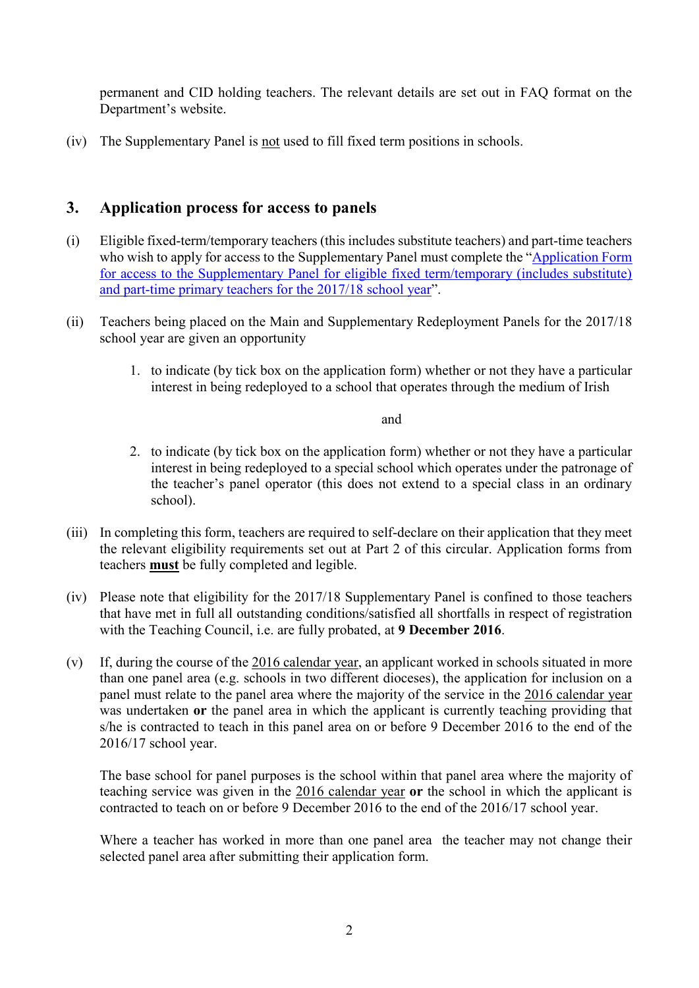permanent and CID holding teachers. The relevant details are set out in FAQ format on the Department's website.

(iv) The Supplementary Panel is not used to fill fixed term positions in schools.

## **3. Application process for access to panels**

- (i) Eligible fixed-term/temporary teachers (this includes substitute teachers) and part-time teachers who wish to apply for access to the Supplementary Panel must complete the "Application Form [for access to the Supplementary Panel for eligible fixed term/temporary \(includes substitute\)](http://www.education.ie/en/Schools-Colleges/Services/Teacher-Allocations/Teacher-Allocation/ta_primary_supplementary_app_2017_2018.pdf)  [and part-time primary teachers for the 2017/18](http://www.education.ie/en/Schools-Colleges/Services/Teacher-Allocations/Teacher-Allocation/ta_primary_supplementary_app_2017_2018.pdf) school year".
- (ii) Teachers being placed on the Main and Supplementary Redeployment Panels for the 2017/18 school year are given an opportunity
	- 1. to indicate (by tick box on the application form) whether or not they have a particular interest in being redeployed to a school that operates through the medium of Irish

#### and

- 2. to indicate (by tick box on the application form) whether or not they have a particular interest in being redeployed to a special school which operates under the patronage of the teacher's panel operator (this does not extend to a special class in an ordinary school).
- (iii) In completing this form, teachers are required to self-declare on their application that they meet the relevant eligibility requirements set out at Part 2 of this circular. Application forms from teachers **must** be fully completed and legible.
- (iv) Please note that eligibility for the 2017/18 Supplementary Panel is confined to those teachers that have met in full all outstanding conditions/satisfied all shortfalls in respect of registration with the Teaching Council, i.e. are fully probated, at **9 December 2016**.
- (v) If, during the course of the 2016 calendar year, an applicant worked in schools situated in more than one panel area (e.g. schools in two different dioceses), the application for inclusion on a panel must relate to the panel area where the majority of the service in the 2016 calendar year was undertaken **or** the panel area in which the applicant is currently teaching providing that s/he is contracted to teach in this panel area on or before 9 December 2016 to the end of the 2016/17 school year.

The base school for panel purposes is the school within that panel area where the majority of teaching service was given in the 2016 calendar year **or** the school in which the applicant is contracted to teach on or before 9 December 2016 to the end of the 2016/17 school year.

Where a teacher has worked in more than one panel area the teacher may not change their selected panel area after submitting their application form.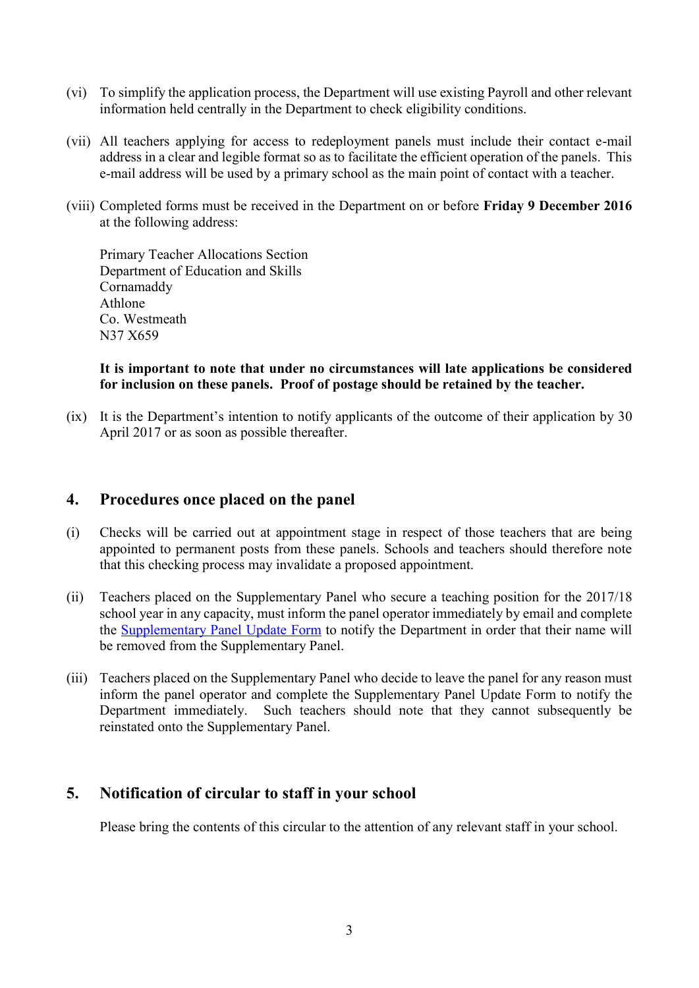- (vi) To simplify the application process, the Department will use existing Payroll and other relevant information held centrally in the Department to check eligibility conditions.
- (vii) All teachers applying for access to redeployment panels must include their contact e-mail address in a clear and legible format so as to facilitate the efficient operation of the panels. This e-mail address will be used by a primary school as the main point of contact with a teacher.
- (viii) Completed forms must be received in the Department on or before **Friday 9 December 2016** at the following address:

Primary Teacher Allocations Section Department of Education and Skills Cornamaddy Athlone Co. Westmeath N37 X659

#### **It is important to note that under no circumstances will late applications be considered for inclusion on these panels. Proof of postage should be retained by the teacher.**

(ix) It is the Department's intention to notify applicants of the outcome of their application by 30 April 2017 or as soon as possible thereafter.

### **4. Procedures once placed on the panel**

- (i) Checks will be carried out at appointment stage in respect of those teachers that are being appointed to permanent posts from these panels. Schools and teachers should therefore note that this checking process may invalidate a proposed appointment.
- (ii) Teachers placed on the Supplementary Panel who secure a teaching position for the 2017/18 school year in any capacity, must inform the panel operator immediately by email and complete the [Supplementary Panel Update Form](http://www.education.ie/en/Schools-Colleges/Services/Teacher-Allocations/Teacher-Allocation/ta_primary_supplementary_panel_puf_2017_2018.pdf) to notify the Department in order that their name will be removed from the Supplementary Panel.
- (iii) Teachers placed on the Supplementary Panel who decide to leave the panel for any reason must inform the panel operator and complete the Supplementary Panel Update Form to notify the Department immediately. Such teachers should note that they cannot subsequently be reinstated onto the Supplementary Panel.

## **5. Notification of circular to staff in your school**

Please bring the contents of this circular to the attention of any relevant staff in your school.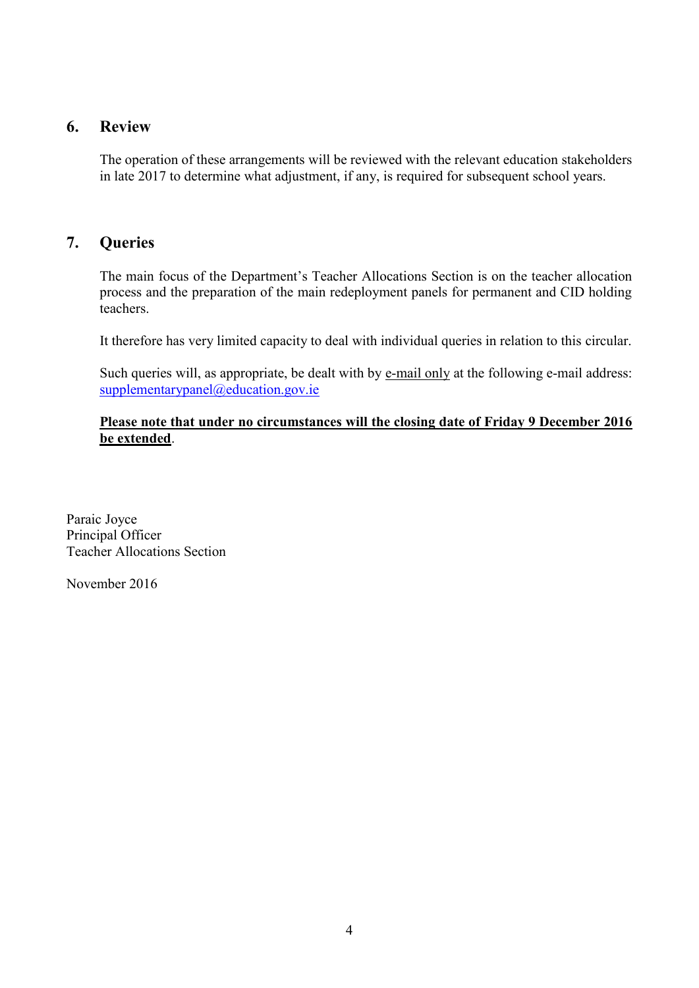## **6. Review**

The operation of these arrangements will be reviewed with the relevant education stakeholders in late 2017 to determine what adjustment, if any, is required for subsequent school years.

## **7. Queries**

The main focus of the Department's Teacher Allocations Section is on the teacher allocation process and the preparation of the main redeployment panels for permanent and CID holding teachers.

It therefore has very limited capacity to deal with individual queries in relation to this circular.

Such queries will, as appropriate, be dealt with by e-mail only at the following e-mail address: [supplementarypanel@education.gov.ie](mailto:supplementarypanel@education.gov.ie)

### **Please note that under no circumstances will the closing date of Friday 9 December 2016 be extended**.

Paraic Joyce Principal Officer Teacher Allocations Section

November 2016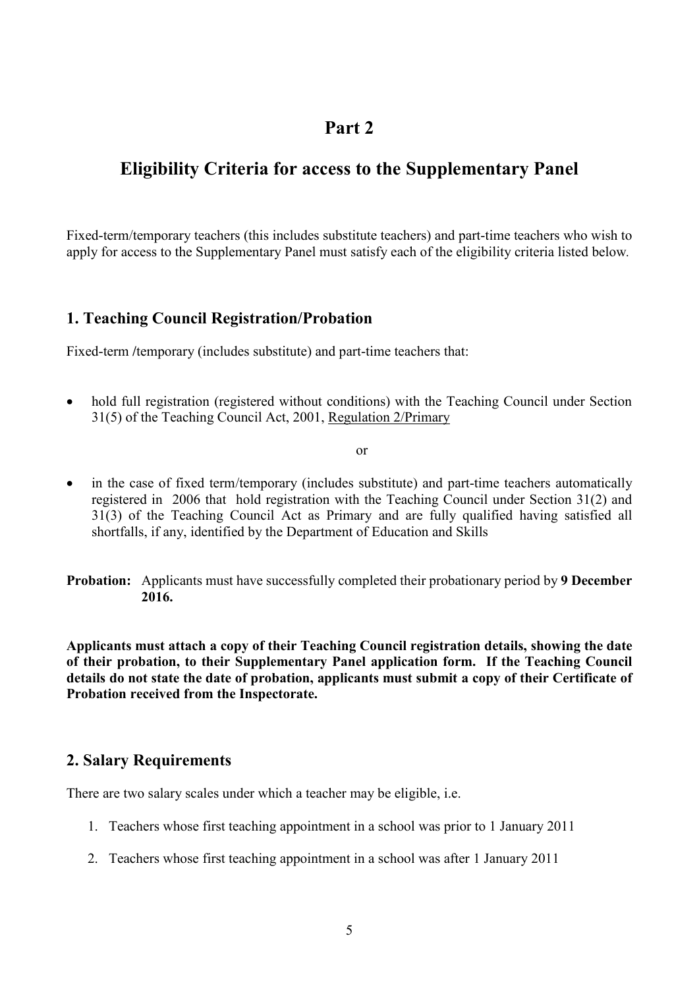## **Part 2**

## **Eligibility Criteria for access to the Supplementary Panel**

Fixed-term/temporary teachers (this includes substitute teachers) and part-time teachers who wish to apply for access to the Supplementary Panel must satisfy each of the eligibility criteria listed below*.*

## **1. Teaching Council Registration/Probation**

Fixed-term /*temporary* (includes substitute) and part-time teachers that:

• hold full registration (registered without conditions) with the Teaching Council under Section 31(5) of the Teaching Council Act, 2001, Regulation 2/Primary

or

- in the case of fixed term/temporary (includes substitute) and part-time teachers automatically registered in 2006 that hold registration with the Teaching Council under Section 31(2) and 31(3) of the Teaching Council Act as Primary and are fully qualified having satisfied all shortfalls, if any, identified by the Department of Education and Skills
- **Probation:** Applicants must have successfully completed their probationary period by **9 December 2016.**

**Applicants must attach a copy of their Teaching Council registration details, showing the date of their probation, to their Supplementary Panel application form. If the Teaching Council details do not state the date of probation, applicants must submit a copy of their Certificate of Probation received from the Inspectorate.**

## **2. Salary Requirements**

There are two salary scales under which a teacher may be eligible, i.e.

- 1. Teachers whose first teaching appointment in a school was prior to 1 January 2011
- 2. Teachers whose first teaching appointment in a school was after 1 January 2011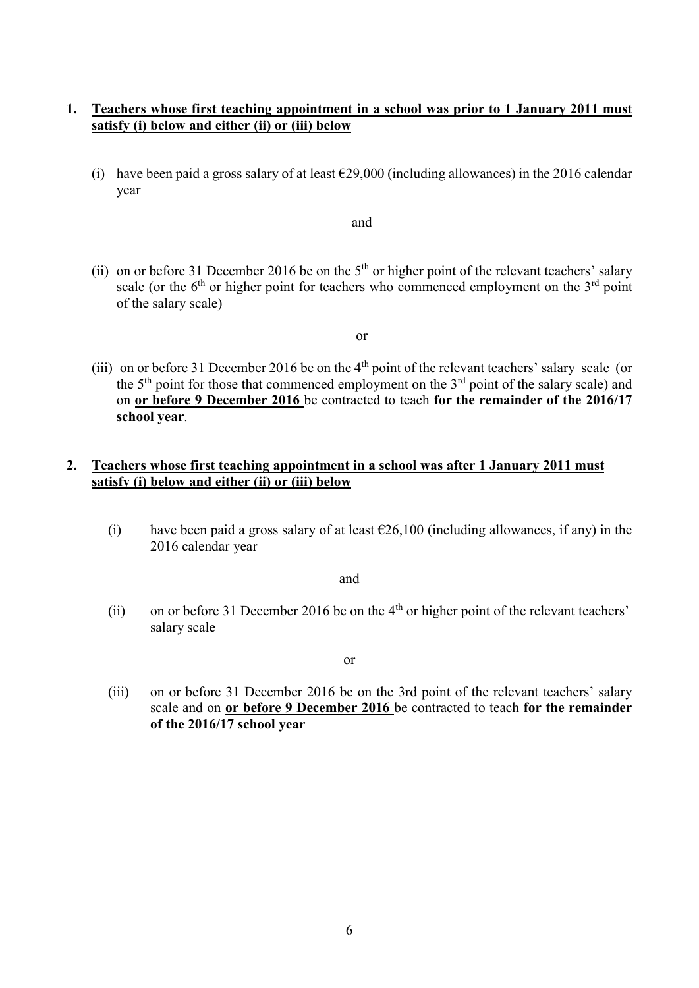#### **1. Teachers whose first teaching appointment in a school was prior to 1 January 2011 must satisfy (i) below and either (ii) or (iii) below**

(i) have been paid a gross salary of at least  $\epsilon$ 29,000 (including allowances) in the 2016 calendar year

and

(ii) on or before 31 December 2016 be on the  $5<sup>th</sup>$  or higher point of the relevant teachers' salary scale (or the  $6<sup>th</sup>$  or higher point for teachers who commenced employment on the  $3<sup>rd</sup>$  point of the salary scale)

or

(iii) on or before 31 December 2016 be on the 4th point of the relevant teachers' salary scale (or the  $5<sup>th</sup>$  point for those that commenced employment on the  $3<sup>rd</sup>$  point of the salary scale) and on **or before 9 December 2016** be contracted to teach **for the remainder of the 2016/17 school year**.

### **2. Teachers whose first teaching appointment in a school was after 1 January 2011 must satisfy (i) below and either (ii) or (iii) below**

(i) have been paid a gross salary of at least  $\epsilon$ 26,100 (including allowances, if any) in the 2016 calendar year

and

(ii) on or before 31 December 2016 be on the  $4<sup>th</sup>$  or higher point of the relevant teachers' salary scale

or

(iii) on or before 31 December 2016 be on the 3rd point of the relevant teachers' salary scale and on **or before 9 December 2016** be contracted to teach **for the remainder of the 2016/17 school year**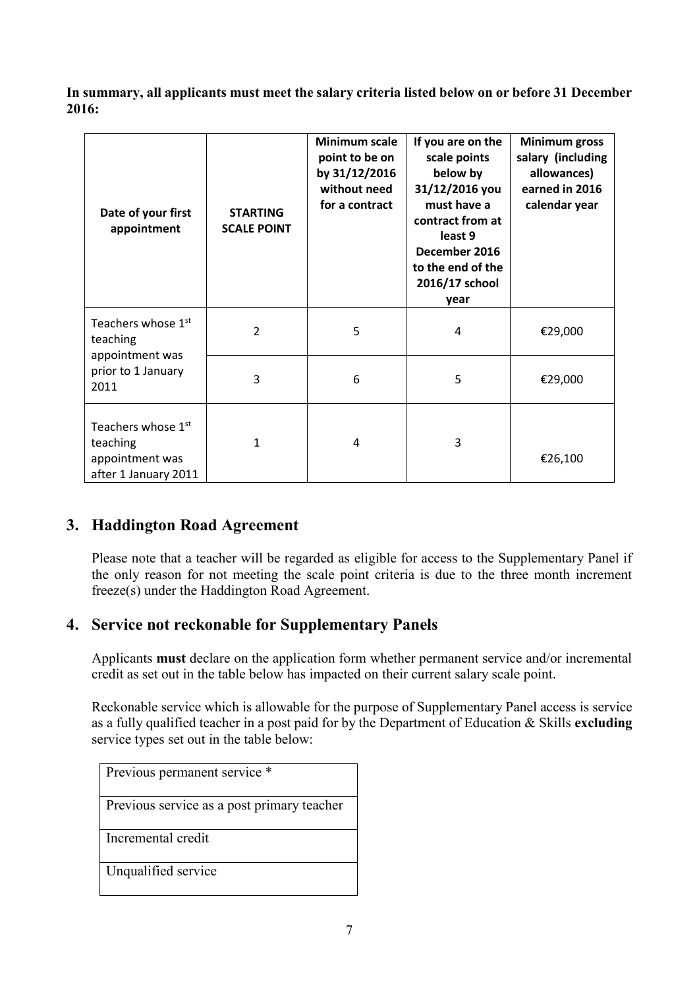**In summary, all applicants must meet the salary criteria listed below on or before 31 December 2016:**

| Date of your first<br>appointment                                                     | <b>STARTING</b><br><b>SCALE POINT</b> | Minimum scale<br>point to be on<br>by 31/12/2016<br>without need<br>for a contract | If you are on the<br>scale points<br>below by<br>31/12/2016 you<br>must have a<br>contract from at<br>least 9<br>December 2016<br>to the end of the<br>2016/17 school<br>year | <b>Minimum gross</b><br>salary (including<br>allowances)<br>earned in 2016<br>calendar year |
|---------------------------------------------------------------------------------------|---------------------------------------|------------------------------------------------------------------------------------|-------------------------------------------------------------------------------------------------------------------------------------------------------------------------------|---------------------------------------------------------------------------------------------|
| Teachers whose 1st<br>teaching                                                        | $\overline{2}$                        | 5                                                                                  | 4                                                                                                                                                                             | €29,000                                                                                     |
| appointment was<br>prior to 1 January<br>2011                                         | 3                                     | 6                                                                                  | 5                                                                                                                                                                             | €29,000                                                                                     |
| Teachers whose 1 <sup>st</sup><br>teaching<br>appointment was<br>after 1 January 2011 | 1                                     | 4                                                                                  | 3                                                                                                                                                                             | €26,100                                                                                     |

## **3. Haddington Road Agreement**

Please note that a teacher will be regarded as eligible for access to the Supplementary Panel if the only reason for not meeting the scale point criteria is due to the three month increment freeze(s) under the Haddington Road Agreement.

## **4. Service not reckonable for Supplementary Panels**

Applicants **must** declare on the application form whether permanent service and/or incremental credit as set out in the table below has impacted on their current salary scale point.

Reckonable service which is allowable for the purpose of Supplementary Panel access is service as a fully qualified teacher in a post paid for by the Department of Education & Skills **excluding**  service types set out in the table below:

| Previous permanent service *               |
|--------------------------------------------|
| Previous service as a post primary teacher |
| Incremental credit                         |
| Unqualified service                        |